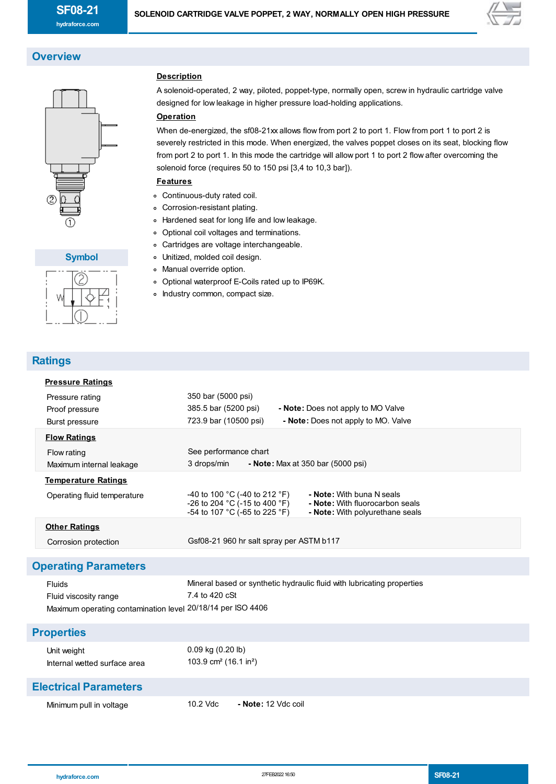

# **Overview**



#### **Symbol**



# **Ratings**

| <b>Pressure Ratings</b>                                                                        |                                                                                                                                                                                                    |
|------------------------------------------------------------------------------------------------|----------------------------------------------------------------------------------------------------------------------------------------------------------------------------------------------------|
| Pressure rating<br>Proof pressure<br>Burst pressure                                            | 350 bar (5000 psi)<br>385.5 bar (5200 psi)<br>- Note: Does not apply to MO Valve<br>723.9 bar (10500 psi)<br>- Note: Does not apply to MO. Valve                                                   |
| <b>Flow Ratings</b>                                                                            |                                                                                                                                                                                                    |
| Flow rating<br>Maximum internal leakage                                                        | See performance chart<br>3 drops/min<br>- Note: Max at 350 bar $(5000 \text{ psi})$                                                                                                                |
| <b>Temperature Ratings</b>                                                                     |                                                                                                                                                                                                    |
| Operating fluid temperature                                                                    | -40 to 100 °C (-40 to 212 °F)<br>- Note: With buna N seals<br>-26 to 204 °C (-15 to 400 °F)<br>- Note: With fluorocarbon seals<br>-54 to 107 °C (-65 to 225 °F)<br>- Note: With polyurethane seals |
| <b>Other Ratings</b>                                                                           |                                                                                                                                                                                                    |
| Corrosion protection                                                                           | Gsf08-21 960 hr salt spray per ASTM b117                                                                                                                                                           |
| <b>Operating Parameters</b>                                                                    |                                                                                                                                                                                                    |
| Fluids<br>Fluid viscosity range<br>Maximum operating contamination level 20/18/14 per ISO 4406 | Mineral based or synthetic hydraulic fluid with lubricating properties<br>7.4 to 420 cSt                                                                                                           |
| <b>Properties</b>                                                                              |                                                                                                                                                                                                    |
| Unit weight<br>Internal wetted surface area                                                    | 0.09 kg (0.20 lb)<br>103.9 cm <sup>2</sup> (16.1 in <sup>2</sup> )                                                                                                                                 |
| <b>Electrical Parameters</b>                                                                   |                                                                                                                                                                                                    |
| Minimum pull in voltage                                                                        | 10.2 Vdc<br>- Note: 12 Vdc coil                                                                                                                                                                    |

### **Description**

A solenoid-operated, 2 way, piloted, poppet-type, normally open, screw in hydraulic cartridge valve designed for low leakage in higher pressure load-holding applications.

#### **Operation**

When de-energized, the sf08-21xx allows flow from port 2 to port 1. Flow from port 1 to port 2 is severely restricted in this mode. When energized, the valves poppet closes on its seat, blocking flow from port 2 to port 1. In this mode the cartridge will allow port 1 to port 2 flow after overcoming the solenoid force (requires 50 to 150 psi [3,4 to 10,3 bar]).

#### **Features**

- Continuous-duty rated coil.
- Corrosion-resistant plating.
- Hardened seat for long life and low leakage.
- Optional coil voltages and terminations.
- Cartridges are voltage interchangeable.
- Unitized, molded coil design.
- Manual override option.
- Optional waterproof E-Coils rated up to IP69K.
- o Industry common, compact size.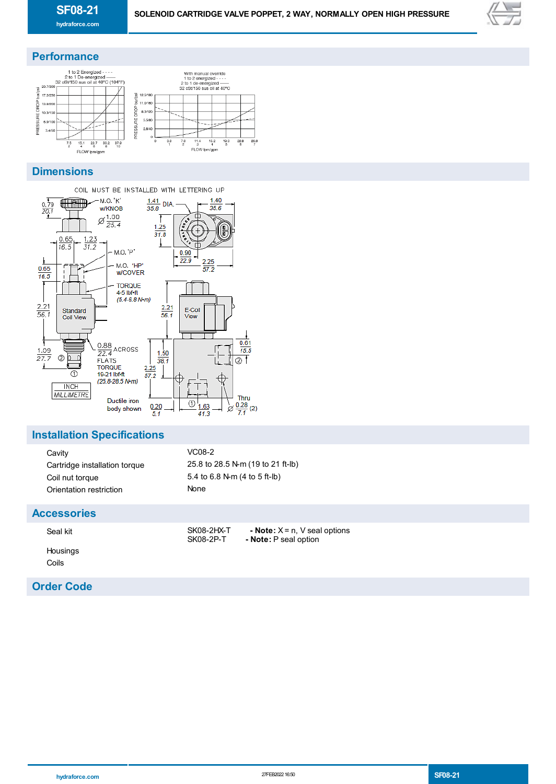

# **Performance**



# **Dimensions**



## **Installation Specifications**

| Cavity                        | $VC08-2$                          |
|-------------------------------|-----------------------------------|
| Cartridge installation torque | 25.8 to 28.5 N-m (19 to 21 ft-lb) |
| Coil nut torque               | 5.4 to 6.8 N-m (4 to 5 ft-lb)     |
| Orientation restriction       | None                              |

### **Accessories**

| Seal kit |  |
|----------|--|
| Housings |  |
| Coils    |  |

## **Order Code**

SK08-2HX-T **- Note:** X = n, V seal options<br>SK08-2P-T **- Note:** P seal option - Note: P seal option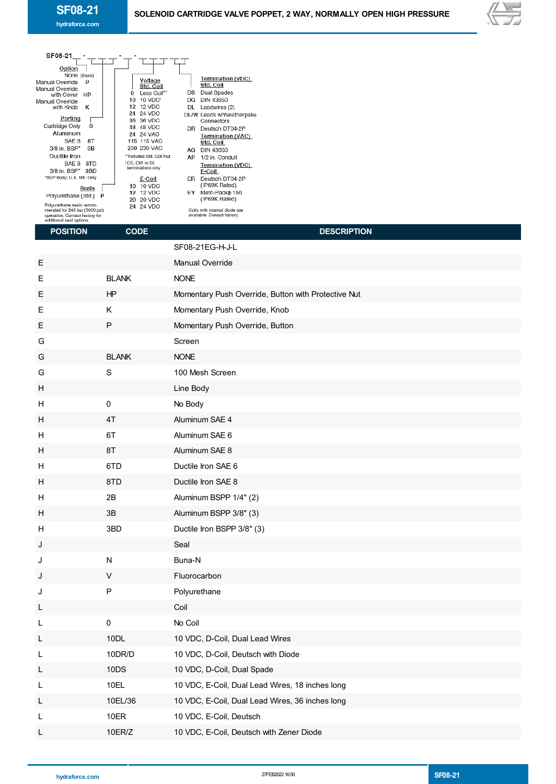

| SF08-21<br>Option<br>None (Blank)<br>Manual Override<br>P<br>Manual Override<br>with Cover<br>HP<br>Manual Override<br>κ<br>with Knob<br>Porting<br>Cartridge Only<br>0<br>Aluminum<br>SAE 8<br>8Τ<br>3/8 in. BSP*<br>3B<br>Ductile Iron<br>SAE 8 8TD<br>3/8 in. BSP* 3BD<br>*BSP Body; U.K. Mfr. Only<br><b>Seals</b><br>Polyurethane (Std.) P<br>Polyurethane seals recom-<br>mended for 345 bar (5000 psi)<br>operation. Contact factory for<br>additional seal options.<br><b>POSITION</b> | Voltage<br>Std. Coil<br>Less Coil**<br>0<br>10 10 VDC <sup>t</sup><br>12 12 VDC<br>24 24 VDC<br>36 36 VDC<br>48 48 VDC<br>24 24 VAC<br><b>115 115 VAC</b><br>230 230 VAC<br>**Includes Std. Coil Nut<br><sup>1</sup> DS, DW or DL<br>terminations only<br>E-Coil<br>10 10 VDC<br><b>12 12 VDC</b><br>20 20 VDC<br>24 24 VDC<br><b>CODE</b> | Termination (VDC)<br>Std. Coil<br>DS Dual Spades<br>DG DIN 43650<br>DL Leadwires (2)<br>DL/W Leads w/Weatherpak®<br>Connectors<br>DR Deutsch DT04-2P<br>Termination (VAC)<br>Std. Coil<br>AG DIN 43650<br>AP 1/2 in. Conduit<br>Termination (VDC)<br>E-Coil<br>ER Deutsch DT04-2P<br>(IP69K Rated)<br>EY Metri-Pack® 150<br>(IP69K Rated)<br>Coils with internal diode are<br>available. Consult factory.<br><b>DESCRIPTION</b> |
|------------------------------------------------------------------------------------------------------------------------------------------------------------------------------------------------------------------------------------------------------------------------------------------------------------------------------------------------------------------------------------------------------------------------------------------------------------------------------------------------|--------------------------------------------------------------------------------------------------------------------------------------------------------------------------------------------------------------------------------------------------------------------------------------------------------------------------------------------|---------------------------------------------------------------------------------------------------------------------------------------------------------------------------------------------------------------------------------------------------------------------------------------------------------------------------------------------------------------------------------------------------------------------------------|
|                                                                                                                                                                                                                                                                                                                                                                                                                                                                                                |                                                                                                                                                                                                                                                                                                                                            | SF08-21EG-H-J-L                                                                                                                                                                                                                                                                                                                                                                                                                 |
| Е                                                                                                                                                                                                                                                                                                                                                                                                                                                                                              |                                                                                                                                                                                                                                                                                                                                            | Manual Override                                                                                                                                                                                                                                                                                                                                                                                                                 |
| Е                                                                                                                                                                                                                                                                                                                                                                                                                                                                                              | <b>BLANK</b>                                                                                                                                                                                                                                                                                                                               | <b>NONE</b>                                                                                                                                                                                                                                                                                                                                                                                                                     |
| Е                                                                                                                                                                                                                                                                                                                                                                                                                                                                                              | ΗP                                                                                                                                                                                                                                                                                                                                         | Momentary Push Override, Button with Protective Nut                                                                                                                                                                                                                                                                                                                                                                             |
| Е                                                                                                                                                                                                                                                                                                                                                                                                                                                                                              | Κ                                                                                                                                                                                                                                                                                                                                          | Momentary Push Override, Knob                                                                                                                                                                                                                                                                                                                                                                                                   |
| Е                                                                                                                                                                                                                                                                                                                                                                                                                                                                                              | P                                                                                                                                                                                                                                                                                                                                          | Momentary Push Override, Button                                                                                                                                                                                                                                                                                                                                                                                                 |
| G                                                                                                                                                                                                                                                                                                                                                                                                                                                                                              |                                                                                                                                                                                                                                                                                                                                            | Screen                                                                                                                                                                                                                                                                                                                                                                                                                          |
| G                                                                                                                                                                                                                                                                                                                                                                                                                                                                                              | <b>BLANK</b>                                                                                                                                                                                                                                                                                                                               | <b>NONE</b>                                                                                                                                                                                                                                                                                                                                                                                                                     |
| G                                                                                                                                                                                                                                                                                                                                                                                                                                                                                              | $\mathbf S$                                                                                                                                                                                                                                                                                                                                | 100 Mesh Screen                                                                                                                                                                                                                                                                                                                                                                                                                 |
| н                                                                                                                                                                                                                                                                                                                                                                                                                                                                                              |                                                                                                                                                                                                                                                                                                                                            | Line Body                                                                                                                                                                                                                                                                                                                                                                                                                       |
| н                                                                                                                                                                                                                                                                                                                                                                                                                                                                                              | 0                                                                                                                                                                                                                                                                                                                                          | No Body                                                                                                                                                                                                                                                                                                                                                                                                                         |
| н                                                                                                                                                                                                                                                                                                                                                                                                                                                                                              | 4T                                                                                                                                                                                                                                                                                                                                         | Aluminum SAE 4                                                                                                                                                                                                                                                                                                                                                                                                                  |
| H                                                                                                                                                                                                                                                                                                                                                                                                                                                                                              | 6T                                                                                                                                                                                                                                                                                                                                         | Aluminum SAE 6                                                                                                                                                                                                                                                                                                                                                                                                                  |
| H                                                                                                                                                                                                                                                                                                                                                                                                                                                                                              | 8T                                                                                                                                                                                                                                                                                                                                         | Aluminum SAE 8                                                                                                                                                                                                                                                                                                                                                                                                                  |
| н                                                                                                                                                                                                                                                                                                                                                                                                                                                                                              | 6TD                                                                                                                                                                                                                                                                                                                                        | Ductile Iron SAE 6                                                                                                                                                                                                                                                                                                                                                                                                              |
| Н                                                                                                                                                                                                                                                                                                                                                                                                                                                                                              | 8TD                                                                                                                                                                                                                                                                                                                                        | Ductile Iron SAE 8                                                                                                                                                                                                                                                                                                                                                                                                              |
| н                                                                                                                                                                                                                                                                                                                                                                                                                                                                                              | 2B                                                                                                                                                                                                                                                                                                                                         | Aluminum BSPP 1/4" (2)                                                                                                                                                                                                                                                                                                                                                                                                          |
| н                                                                                                                                                                                                                                                                                                                                                                                                                                                                                              | 3B                                                                                                                                                                                                                                                                                                                                         | Aluminum BSPP 3/8" (3)                                                                                                                                                                                                                                                                                                                                                                                                          |
| н                                                                                                                                                                                                                                                                                                                                                                                                                                                                                              | 3BD                                                                                                                                                                                                                                                                                                                                        | Ductile Iron BSPP 3/8" (3)                                                                                                                                                                                                                                                                                                                                                                                                      |
| J                                                                                                                                                                                                                                                                                                                                                                                                                                                                                              |                                                                                                                                                                                                                                                                                                                                            | Seal                                                                                                                                                                                                                                                                                                                                                                                                                            |
| J                                                                                                                                                                                                                                                                                                                                                                                                                                                                                              | N<br>V                                                                                                                                                                                                                                                                                                                                     | Buna-N                                                                                                                                                                                                                                                                                                                                                                                                                          |
| J                                                                                                                                                                                                                                                                                                                                                                                                                                                                                              | P                                                                                                                                                                                                                                                                                                                                          | Fluorocarbon<br>Polyurethane                                                                                                                                                                                                                                                                                                                                                                                                    |
| J                                                                                                                                                                                                                                                                                                                                                                                                                                                                                              |                                                                                                                                                                                                                                                                                                                                            | Coil                                                                                                                                                                                                                                                                                                                                                                                                                            |
| L<br>L                                                                                                                                                                                                                                                                                                                                                                                                                                                                                         | $\pmb{0}$                                                                                                                                                                                                                                                                                                                                  | No Coil                                                                                                                                                                                                                                                                                                                                                                                                                         |
| L                                                                                                                                                                                                                                                                                                                                                                                                                                                                                              | 10DL                                                                                                                                                                                                                                                                                                                                       | 10 VDC, D-Coil, Dual Lead Wires                                                                                                                                                                                                                                                                                                                                                                                                 |
| L                                                                                                                                                                                                                                                                                                                                                                                                                                                                                              | 10DR/D                                                                                                                                                                                                                                                                                                                                     | 10 VDC, D-Coil, Deutsch with Diode                                                                                                                                                                                                                                                                                                                                                                                              |
| L                                                                                                                                                                                                                                                                                                                                                                                                                                                                                              | 10DS                                                                                                                                                                                                                                                                                                                                       | 10 VDC, D-Coil, Dual Spade                                                                                                                                                                                                                                                                                                                                                                                                      |
| L                                                                                                                                                                                                                                                                                                                                                                                                                                                                                              | 10EL                                                                                                                                                                                                                                                                                                                                       | 10 VDC, E-Coil, Dual Lead Wires, 18 inches long                                                                                                                                                                                                                                                                                                                                                                                 |
| L                                                                                                                                                                                                                                                                                                                                                                                                                                                                                              | 10EL/36                                                                                                                                                                                                                                                                                                                                    | 10 VDC, E-Coil, Dual Lead Wires, 36 inches long                                                                                                                                                                                                                                                                                                                                                                                 |
| L                                                                                                                                                                                                                                                                                                                                                                                                                                                                                              | 10ER                                                                                                                                                                                                                                                                                                                                       | 10 VDC, E-Coil, Deutsch                                                                                                                                                                                                                                                                                                                                                                                                         |
| L                                                                                                                                                                                                                                                                                                                                                                                                                                                                                              | 10ER/Z                                                                                                                                                                                                                                                                                                                                     | 10 VDC, E-Coil, Deutsch with Zener Diode                                                                                                                                                                                                                                                                                                                                                                                        |
|                                                                                                                                                                                                                                                                                                                                                                                                                                                                                                |                                                                                                                                                                                                                                                                                                                                            |                                                                                                                                                                                                                                                                                                                                                                                                                                 |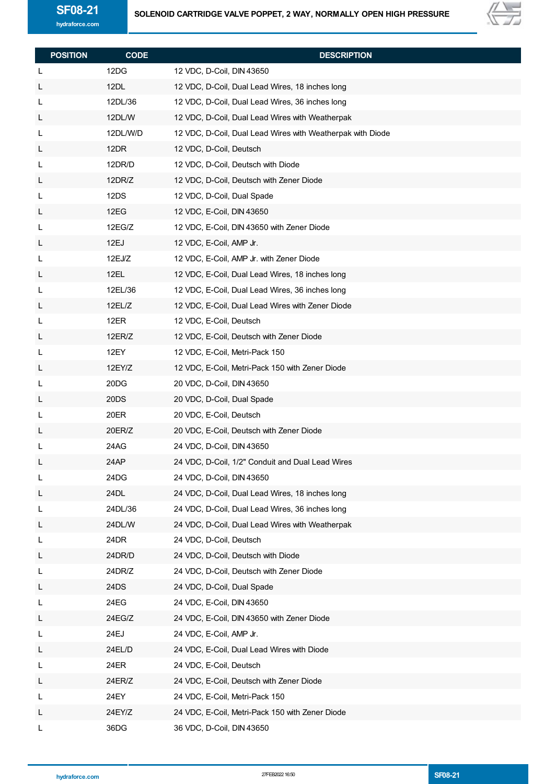

| <b>POSITION</b> | <b>CODE</b>    | <b>DESCRIPTION</b>                                         |
|-----------------|----------------|------------------------------------------------------------|
| L               | 12DG           | 12 VDC, D-Coil, DIN 43650                                  |
| L               | 12DL           | 12 VDC, D-Coil, Dual Lead Wires, 18 inches long            |
| L               | 12DL/36        | 12 VDC, D-Coil, Dual Lead Wires, 36 inches long            |
|                 | 12DL/W         | 12 VDC, D-Coil, Dual Lead Wires with Weatherpak            |
| L               | 12DL/W/D       |                                                            |
| L               | 12DR           | 12 VDC, D-Coil, Dual Lead Wires with Weatherpak with Diode |
| L               | 12DR/D         | 12 VDC, D-Coil, Deutsch                                    |
| L               | 12DR/Z         | 12 VDC, D-Coil, Deutsch with Diode                         |
| L               | 12DS           | 12 VDC, D-Coil, Deutsch with Zener Diode                   |
| L               | 12EG           | 12 VDC, D-Coil, Dual Spade                                 |
| L               |                | 12 VDC, E-Coil, DIN 43650                                  |
| L               | 12EG/Z<br>12EJ | 12 VDC, E-Coil, DIN 43650 with Zener Diode                 |
| L               |                | 12 VDC, E-Coil, AMP Jr.                                    |
| L               | 12EJ/Z         | 12 VDC, E-Coil, AMP Jr. with Zener Diode                   |
| L               | 12EL           | 12 VDC, E-Coil, Dual Lead Wires, 18 inches long            |
| L               | 12EL/36        | 12 VDC, E-Coil, Dual Lead Wires, 36 inches long            |
| L               | 12EL/Z         | 12 VDC, E-Coil, Dual Lead Wires with Zener Diode           |
| L               | 12ER           | 12 VDC, E-Coil, Deutsch                                    |
| L               | 12ER/Z         | 12 VDC, E-Coil, Deutsch with Zener Diode                   |
| L               | 12EY           | 12 VDC, E-Coil, Metri-Pack 150                             |
| L               | 12EY/Z         | 12 VDC, E-Coil, Metri-Pack 150 with Zener Diode            |
| L               | 20DG           | 20 VDC, D-Coil, DIN 43650                                  |
| L               | 20DS           | 20 VDC, D-Coil, Dual Spade                                 |
| L               | 20ER           | 20 VDC, E-Coil, Deutsch                                    |
| L               | 20ER/Z         | 20 VDC, E-Coil, Deutsch with Zener Diode                   |
| L               | 24AG           | 24 VDC, D-Coil, DIN 43650                                  |
| L               | 24AP           | 24 VDC, D-Coil, 1/2" Conduit and Dual Lead Wires           |
| L               | 24DG           | 24 VDC, D-Coil, DIN 43650                                  |
| L               | 24DL           | 24 VDC, D-Coil, Dual Lead Wires, 18 inches long            |
| L               | 24DL/36        | 24 VDC, D-Coil, Dual Lead Wires, 36 inches long            |
| L               | 24DL/W         | 24 VDC, D-Coil, Dual Lead Wires with Weatherpak            |
| L               | 24DR           | 24 VDC, D-Coil, Deutsch                                    |
| L               | 24DR/D         | 24 VDC, D-Coil, Deutsch with Diode                         |
| L               | 24DR/Z         | 24 VDC, D-Coil, Deutsch with Zener Diode                   |
| L               | 24DS           | 24 VDC, D-Coil, Dual Spade                                 |
| L               | 24EG           | 24 VDC, E-Coil, DIN 43650                                  |
| L               | 24EG/Z         | 24 VDC, E-Coil, DIN 43650 with Zener Diode                 |
| L               | 24EJ           | 24 VDC, E-Coil, AMP Jr.                                    |
| L               | 24EL/D         | 24 VDC, E-Coil, Dual Lead Wires with Diode                 |
| L               | 24ER           | 24 VDC, E-Coil, Deutsch                                    |
| L               | 24ER/Z         | 24 VDC, E-Coil, Deutsch with Zener Diode                   |
| L               | 24EY           | 24 VDC, E-Coil, Metri-Pack 150                             |
| L               | 24EY/Z         | 24 VDC, E-Coil, Metri-Pack 150 with Zener Diode            |
| L               | 36DG           | 36 VDC, D-Coil, DIN 43650                                  |